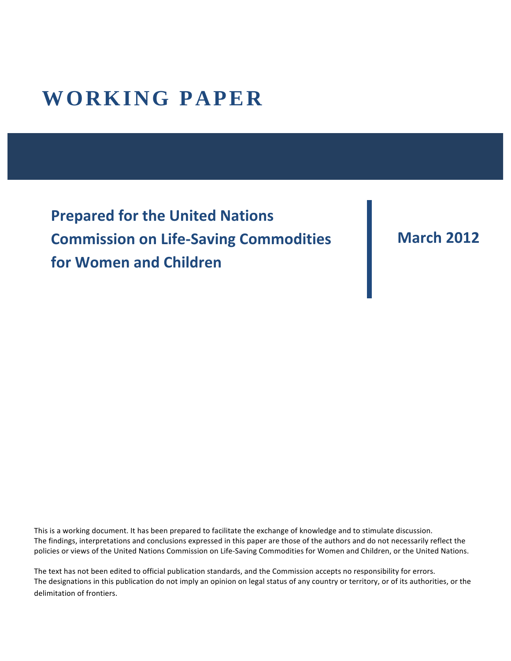# **WORKING PAPER**

**Prepared for the United Nations Commission on Life-Saving Commodities** for Women and Children

### **March&2012**

This is a working document. It has been prepared to facilitate the exchange of knowledge and to stimulate discussion. The findings, interpretations and conclusions expressed in this paper are those of the authors and do not necessarily reflect the policies or views of the United Nations Commission on Life-Saving Commodities for Women and Children, or the United Nations.

The text has not been edited to official publication standards, and the Commission accepts no responsibility for errors. The designations in this publication do not imply an opinion on legal status of any country or territory, or of its authorities, or the delimitation of frontiers.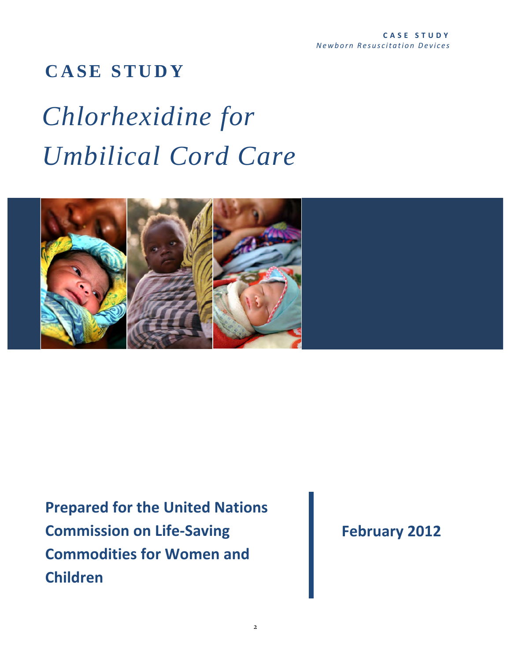## **CASE STUDY**

# *Chlorhexidine for Umbilical Cord Care*



**Prepared for the United Nations Commission on Life-Saving Commodities for Women and Children**

**February 2012**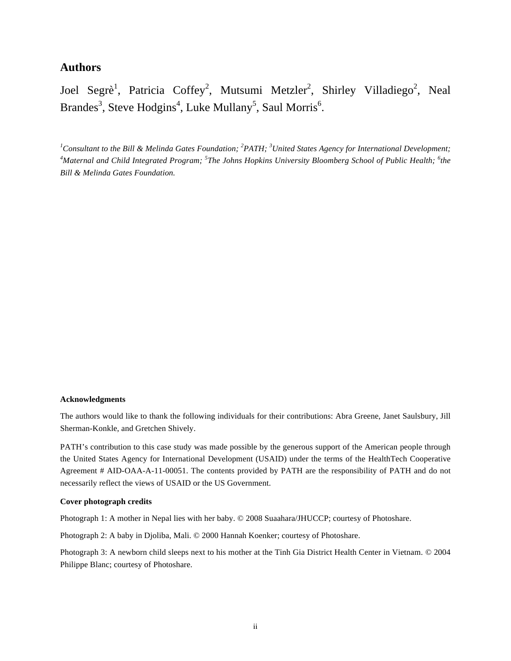#### **Authors**

Joel Segrè<sup>1</sup>, Patricia Coffey<sup>2</sup>, Mutsumi Metzler<sup>2</sup>, Shirley Villadiego<sup>2</sup>, Neal Brandes<sup>3</sup>, Steve Hodgins<sup>4</sup>, Luke Mullany<sup>5</sup>, Saul Morris<sup>6</sup>.

<sup>1</sup>Consultant to the Bill & Melinda Gates Foundation; <sup>2</sup>PATH; <sup>3</sup>United States Agency for International Development; <sup>4</sup>Maternal and Child Integrated Program; <sup>5</sup>The Johns Hopkins University Bloomberg School of Public Health; <sup>6</sup>the *Bill & Melinda Gates Foundation.*

#### **Acknowledgments**

The authors would like to thank the following individuals for their contributions: Abra Greene, Janet Saulsbury, Jill Sherman-Konkle, and Gretchen Shively.

PATH's contribution to this case study was made possible by the generous support of the American people through the United States Agency for International Development (USAID) under the terms of the HealthTech Cooperative Agreement # AID-OAA-A-11-00051. The contents provided by PATH are the responsibility of PATH and do not necessarily reflect the views of USAID or the US Government.

#### **Cover photograph credits**

Photograph 1: A mother in Nepal lies with her baby. © 2008 Suaahara/JHUCCP; courtesy of Photoshare.

Photograph 2: A baby in Djoliba, Mali. © 2000 Hannah Koenker; courtesy of Photoshare.

Photograph 3: A newborn child sleeps next to his mother at the Tinh Gia District Health Center in Vietnam. © 2004 Philippe Blanc; courtesy of Photoshare.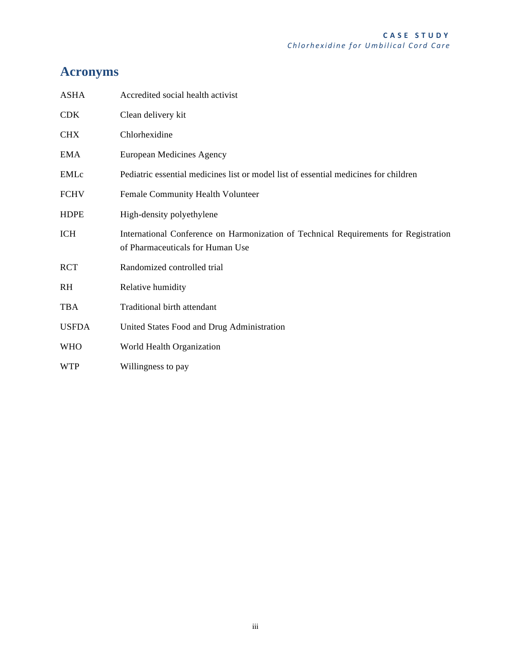### **Acronyms**

| <b>ASHA</b>  | Accredited social health activist                                                                                        |
|--------------|--------------------------------------------------------------------------------------------------------------------------|
| <b>CDK</b>   | Clean delivery kit                                                                                                       |
| <b>CHX</b>   | Chlorhexidine                                                                                                            |
| EMA          | European Medicines Agency                                                                                                |
| EMLc         | Pediatric essential medicines list or model list of essential medicines for children                                     |
| <b>FCHV</b>  | Female Community Health Volunteer                                                                                        |
| <b>HDPE</b>  | High-density polyethylene                                                                                                |
| <b>ICH</b>   | International Conference on Harmonization of Technical Requirements for Registration<br>of Pharmaceuticals for Human Use |
| <b>RCT</b>   | Randomized controlled trial                                                                                              |
| <b>RH</b>    | Relative humidity                                                                                                        |
| <b>TBA</b>   | Traditional birth attendant                                                                                              |
| <b>USFDA</b> | United States Food and Drug Administration                                                                               |
| <b>WHO</b>   | World Health Organization                                                                                                |
| <b>WTP</b>   | Willingness to pay                                                                                                       |
|              |                                                                                                                          |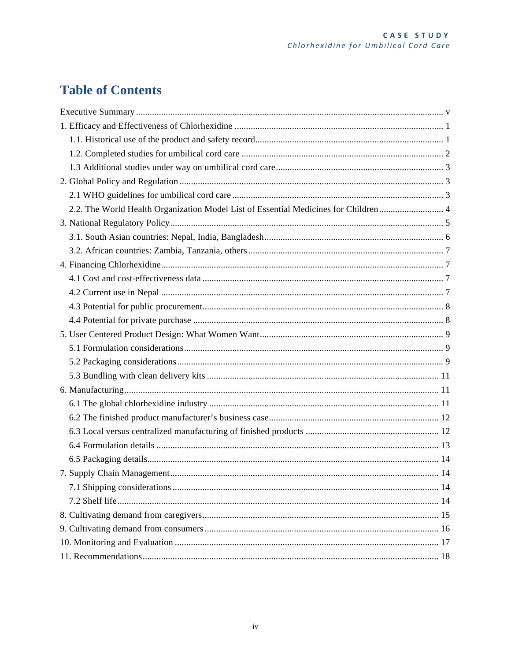### **Table of Contents**

| 2.2. The World Health Organization Model List of Essential Medicines for Children 4 |  |
|-------------------------------------------------------------------------------------|--|
|                                                                                     |  |
|                                                                                     |  |
|                                                                                     |  |
|                                                                                     |  |
|                                                                                     |  |
|                                                                                     |  |
|                                                                                     |  |
|                                                                                     |  |
|                                                                                     |  |
|                                                                                     |  |
|                                                                                     |  |
|                                                                                     |  |
|                                                                                     |  |
|                                                                                     |  |
|                                                                                     |  |
|                                                                                     |  |
|                                                                                     |  |
|                                                                                     |  |
|                                                                                     |  |
|                                                                                     |  |
|                                                                                     |  |
|                                                                                     |  |
|                                                                                     |  |
|                                                                                     |  |
|                                                                                     |  |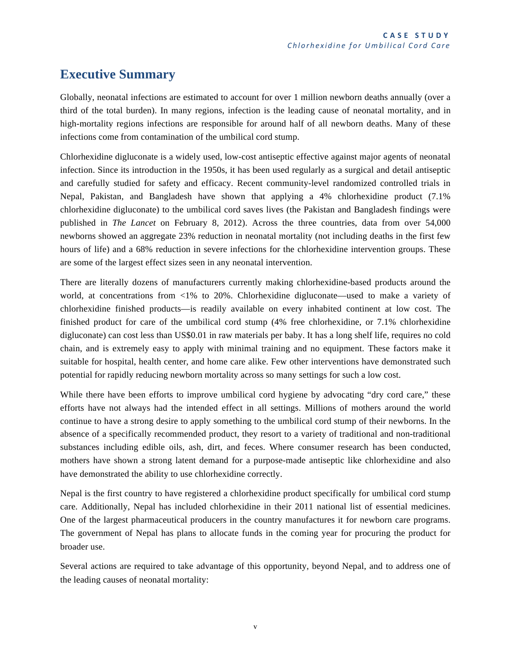### **Executive Summary**

Globally, neonatal infections are estimated to account for over 1 million newborn deaths annually (over a third of the total burden). In many regions, infection is the leading cause of neonatal mortality, and in high-mortality regions infections are responsible for around half of all newborn deaths. Many of these infections come from contamination of the umbilical cord stump.

Chlorhexidine digluconate is a widely used, low-cost antiseptic effective against major agents of neonatal infection. Since its introduction in the 1950s, it has been used regularly as a surgical and detail antiseptic and carefully studied for safety and efficacy. Recent community-level randomized controlled trials in Nepal, Pakistan, and Bangladesh have shown that applying a 4% chlorhexidine product (7.1% chlorhexidine digluconate) to the umbilical cord saves lives (the Pakistan and Bangladesh findings were published in *The Lancet* on February 8, 2012). Across the three countries, data from over 54,000 newborns showed an aggregate 23% reduction in neonatal mortality (not including deaths in the first few hours of life) and a 68% reduction in severe infections for the chlorhexidine intervention groups. These are some of the largest effect sizes seen in any neonatal intervention.

There are literally dozens of manufacturers currently making chlorhexidine-based products around the world, at concentrations from <1% to 20%. Chlorhexidine digluconate—used to make a variety of chlorhexidine finished products—is readily available on every inhabited continent at low cost. The finished product for care of the umbilical cord stump (4% free chlorhexidine, or 7.1% chlorhexidine digluconate) can cost less than US\$0.01 in raw materials per baby. It has a long shelf life, requires no cold chain, and is extremely easy to apply with minimal training and no equipment. These factors make it suitable for hospital, health center, and home care alike. Few other interventions have demonstrated such potential for rapidly reducing newborn mortality across so many settings for such a low cost.

While there have been efforts to improve umbilical cord hygiene by advocating "dry cord care," these efforts have not always had the intended effect in all settings. Millions of mothers around the world continue to have a strong desire to apply something to the umbilical cord stump of their newborns. In the absence of a specifically recommended product, they resort to a variety of traditional and non-traditional substances including edible oils, ash, dirt, and feces. Where consumer research has been conducted, mothers have shown a strong latent demand for a purpose-made antiseptic like chlorhexidine and also have demonstrated the ability to use chlorhexidine correctly.

Nepal is the first country to have registered a chlorhexidine product specifically for umbilical cord stump care. Additionally, Nepal has included chlorhexidine in their 2011 national list of essential medicines. One of the largest pharmaceutical producers in the country manufactures it for newborn care programs. The government of Nepal has plans to allocate funds in the coming year for procuring the product for broader use.

Several actions are required to take advantage of this opportunity, beyond Nepal, and to address one of the leading causes of neonatal mortality: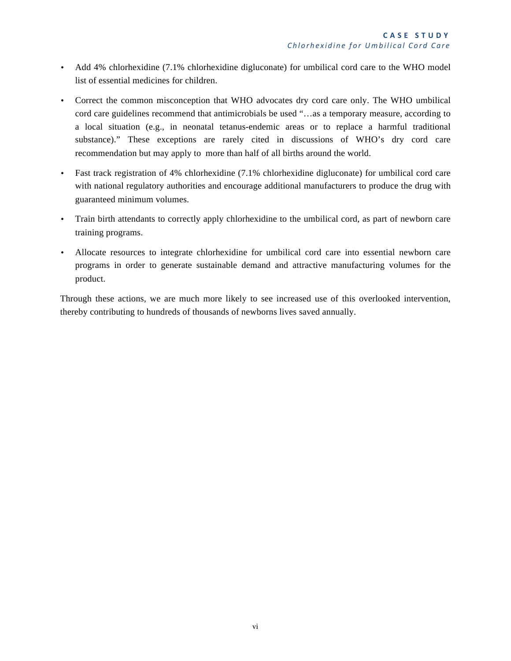- Add 4% chlorhexidine (7.1% chlorhexidine digluconate) for umbilical cord care to the WHO model list of essential medicines for children.
- Correct the common misconception that WHO advocates dry cord care only. The WHO umbilical cord care guidelines recommend that antimicrobials be used "…as a temporary measure, according to a local situation (e.g., in neonatal tetanus-endemic areas or to replace a harmful traditional substance)." These exceptions are rarely cited in discussions of WHO's dry cord care recommendation but may apply to more than half of all births around the world.
- Fast track registration of 4% chlorhexidine (7.1% chlorhexidine digluconate) for umbilical cord care with national regulatory authorities and encourage additional manufacturers to produce the drug with guaranteed minimum volumes.
- Train birth attendants to correctly apply chlorhexidine to the umbilical cord, as part of newborn care training programs.
- Allocate resources to integrate chlorhexidine for umbilical cord care into essential newborn care programs in order to generate sustainable demand and attractive manufacturing volumes for the product.

Through these actions, we are much more likely to see increased use of this overlooked intervention, thereby contributing to hundreds of thousands of newborns lives saved annually.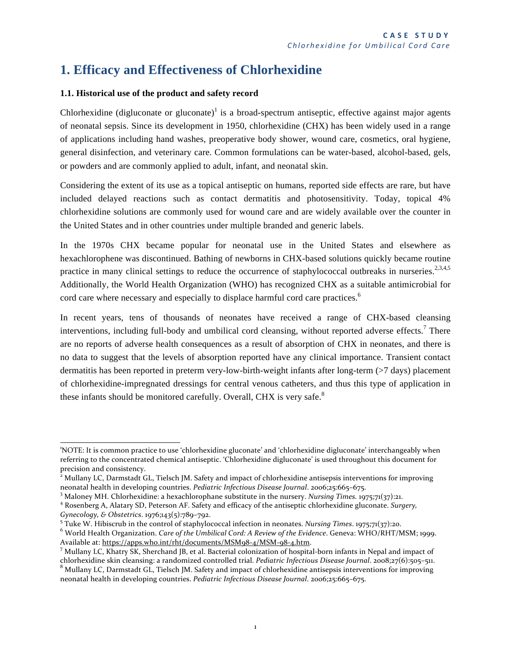### **1. Efficacy and Effectiveness of Chlorhexidine**

#### **1.1. Historical use of the product and safety record**

Chlorhexidine (digluconate or gluconate)<sup>1</sup> is a broad-spectrum antiseptic, effective against major agents of neonatal sepsis. Since its development in 1950, chlorhexidine (CHX) has been widely used in a range of applications including hand washes, preoperative body shower, wound care, cosmetics, oral hygiene, general disinfection, and veterinary care. Common formulations can be water-based, alcohol-based, gels, or powders and are commonly applied to adult, infant, and neonatal skin.

Considering the extent of its use as a topical antiseptic on humans, reported side effects are rare, but have included delayed reactions such as contact dermatitis and photosensitivity. Today, topical 4% chlorhexidine solutions are commonly used for wound care and are widely available over the counter in the United States and in other countries under multiple branded and generic labels.

In the 1970s CHX became popular for neonatal use in the United States and elsewhere as hexachlorophene was discontinued. Bathing of newborns in CHX-based solutions quickly became routine practice in many clinical settings to reduce the occurrence of staphylococcal outbreaks in nurseries.<sup>2,3,4,5</sup> Additionally, the World Health Organization (WHO) has recognized CHX as a suitable antimicrobial for cord care where necessary and especially to displace harmful cord care practices. 6

In recent years, tens of thousands of neonates have received a range of CHX-based cleansing interventions, including full-body and umbilical cord cleansing, without reported adverse effects.<sup>7</sup> There are no reports of adverse health consequences as a result of absorption of CHX in neonates, and there is no data to suggest that the levels of absorption reported have any clinical importance. Transient contact dermatitis has been reported in preterm very-low-birth-weight infants after long-term (>7 days) placement of chlorhexidine-impregnated dressings for central venous catheters, and thus this type of application in these infants should be monitored carefully. Overall, CHX is very safe.<sup>8</sup>

<sup>&</sup>quot;<br>"NOTE: It is common practice to use 'chlorhexidine gluconate' and 'chlorhexidine digluconate' interchangeably when referring to the concentrated chemical antiseptic. 'Chlorhexidine digluconate' is used throughout this document for precision and consistency.

 $<sup>2</sup>$  Mullany LC, Darmstadt GL, Tielsch JM. Safety and impact of chlorhexidine antisepsis interventions for improving</sup> neonatal health in developing countries. *Pediatric Infectious Disease Journal.* 2006;25:665-675.

<sup>&</sup>lt;sup>3</sup> Maloney MH. Chlorhexidine: a hexachlorophane substitute in the nursery. *Nursing Times.* 1975;71(37):21.

<sup>&</sup>lt;sup>4</sup> Rosenberg A, Alatary SD, Peterson AF. Safety and efficacy of the antiseptic chlorhexidine gluconate. *Surgery*, *Gynecology, & Obstetrics.* 1976;143(5):789-792.

<sup>&</sup>lt;sup>5</sup> Tuke W. Hibiscrub in the control of staphylococcal infection in neonates. *Nursing Times*. 1975;71(37):20.

<sup>&</sup>lt;sup>6</sup> World Health Organization. *Care of the Umbilical Cord: A Review of the Evidence*. Geneva: WHO/RHT/MSM; 1999.<br>Available at: https://apps.who.int/rht/documents/MSM98-4/MSM-98-4.htm.

<sup>&</sup>lt;sup>7</sup> Mullany LC, Khatry SK, Sherchand JB, et al. Bacterial colonization of hospital-born infants in Nepal and impact of chlorhexidine skin cleansing: a randomized controlled trial. Pediatric Infectious Disease Journal. 2008;27(6):505-511.<br><sup>8</sup> Mullany LC, Darmstadt GL, Tielsch JM. Safety and impact of chlorhexidine antisepsis interventions f

neonatal health in developing countries. *Pediatric Infectious Disease Journal*. 2006;25:665-675.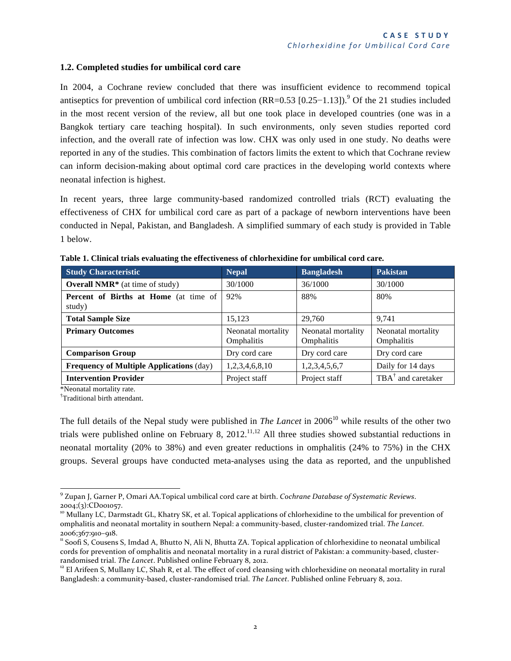#### **1.2. Completed studies for umbilical cord care**

In 2004, a Cochrane review concluded that there was insufficient evidence to recommend topical antiseptics for prevention of umbilical cord infection  $(RR=0.53 [0.25-1.13])$ .<sup>9</sup> Of the 21 studies included in the most recent version of the review, all but one took place in developed countries (one was in a Bangkok tertiary care teaching hospital). In such environments, only seven studies reported cord infection, and the overall rate of infection was low. CHX was only used in one study. No deaths were reported in any of the studies. This combination of factors limits the extent to which that Cochrane review can inform decision-making about optimal cord care practices in the developing world contexts where neonatal infection is highest.

In recent years, three large community-based randomized controlled trials (RCT) evaluating the effectiveness of CHX for umbilical cord care as part of a package of newborn interventions have been conducted in Nepal, Pakistan, and Bangladesh. A simplified summary of each study is provided in Table 1 below.

| <b>Study Characteristic</b>                            | Nepal <sub>1</sub>               | <b>Bangladesh</b>                | <b>Pakistan</b>                  |
|--------------------------------------------------------|----------------------------------|----------------------------------|----------------------------------|
| <b>Overall NMR*</b> (at time of study)                 | 30/1000                          | 36/1000                          | 30/1000                          |
| <b>Percent of Births at Home</b> (at time of<br>study) | 92%                              | 88%                              | 80%                              |
| <b>Total Sample Size</b>                               | 15,123                           | 29,760                           | 9,741                            |
| <b>Primary Outcomes</b>                                | Neonatal mortality<br>Omphalitis | Neonatal mortality<br>Omphalitis | Neonatal mortality<br>Omphalitis |
| <b>Comparison Group</b>                                | Dry cord care                    | Dry cord care                    | Dry cord care                    |
| <b>Frequency of Multiple Applications (day)</b>        | 1,2,3,4,6,8,10                   | 1,2,3,4,5,6,7                    | Daily for 14 days                |
| <b>Intervention Provider</b>                           | Project staff                    | Project staff                    | $TBA^{\dagger}$ and caretaker    |

**Table 1. Clinical trials evaluating the effectiveness of chlorhexidine for umbilical cord care.**

\*Neonatal mortality rate.

† Traditional birth attendant.

The full details of the Nepal study were published in *The Lancet* in 2006<sup>10</sup> while results of the other two trials were published online on February 8,  $2012$ ,<sup>11,12</sup> All three studies showed substantial reductions in neonatal mortality (20% to 38%) and even greater reductions in omphalitis (24% to 75%) in the CHX groups. Several groups have conducted meta-analyses using the data as reported, and the unpublished

<sup>&</sup>quot;"""""""""""""""""""""""""""""""""""""""""""""""""""""""""""""""" <sup>9</sup> "Zupan"J,"Garner"P,"Omari"AA.Topical"umbilical"cord"care"at"birth."*Cochrane)Database)of)Systematic)Reviews*." 2004;(3):CD001057.

<sup>&</sup>lt;sup>10</sup> Mullany LC, Darmstadt GL, Khatry SK, et al. Topical applications of chlorhexidine to the umbilical for prevention of omphalitis and neonatal mortality in southern Nepal: a community-based, cluster-randomized trial. The Lancet.

<sup>2006;367:910–918.&</sup>lt;br>" Soofi S, Cousens S, Imdad A, Bhutto N, Ali N, Bhutta ZA. Topical application of chlorhexidine to neonatal umbilical cords for prevention of omphalitis and neonatal mortality in a rural district of Pakistan: a community-based, cluster-<br>randomised trial. The Lancet. Published online February 8, 2012.

<sup>&</sup>lt;sup>12</sup> El Arifeen S, Mullany LC, Shah R, et al. The effect of cord cleansing with chlorhexidine on neonatal mortality in rural Bangladesh: a community-based, cluster-randomised trial. The Lancet. Published online February 8, 2012.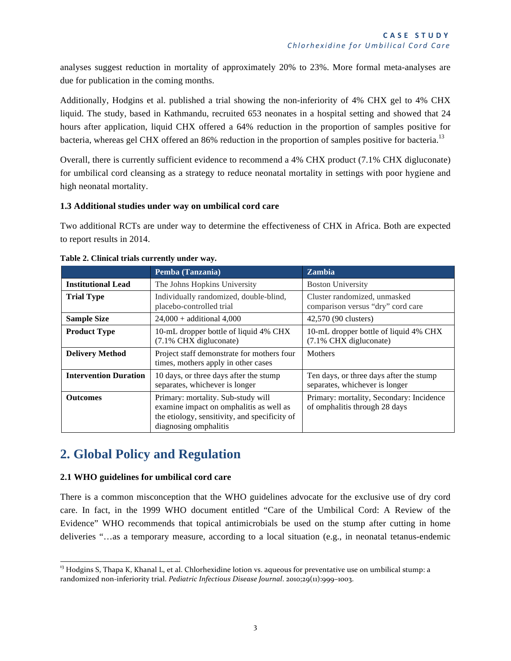analyses suggest reduction in mortality of approximately 20% to 23%. More formal meta-analyses are due for publication in the coming months.

Additionally, Hodgins et al. published a trial showing the non-inferiority of 4% CHX gel to 4% CHX liquid. The study, based in Kathmandu, recruited 653 neonates in a hospital setting and showed that 24 hours after application, liquid CHX offered a 64% reduction in the proportion of samples positive for bacteria, whereas gel CHX offered an 86% reduction in the proportion of samples positive for bacteria.<sup>13</sup>

Overall, there is currently sufficient evidence to recommend a 4% CHX product (7.1% CHX digluconate) for umbilical cord cleansing as a strategy to reduce neonatal mortality in settings with poor hygiene and high neonatal mortality.

#### **1.3 Additional studies under way on umbilical cord care**

Two additional RCTs are under way to determine the effectiveness of CHX in Africa. Both are expected to report results in 2014.

|                              | Pemba (Tanzania)                                                                                                                                        | <b>Zambia</b>                                                             |  |
|------------------------------|---------------------------------------------------------------------------------------------------------------------------------------------------------|---------------------------------------------------------------------------|--|
| <b>Institutional Lead</b>    | The Johns Hopkins University                                                                                                                            | <b>Boston University</b>                                                  |  |
| <b>Trial Type</b>            | Individually randomized, double-blind,<br>placebo-controlled trial                                                                                      | Cluster randomized, unmasked<br>comparison versus "dry" cord care         |  |
| <b>Sample Size</b>           | $24,000 + additional 4,000$                                                                                                                             | 42,570 (90 clusters)                                                      |  |
| <b>Product Type</b>          | 10-mL dropper bottle of liquid 4% CHX<br>(7.1% CHX digluconate)                                                                                         | 10-mL dropper bottle of liquid 4% CHX<br>(7.1% CHX digluconate)           |  |
| <b>Delivery Method</b>       | Project staff demonstrate for mothers four<br>times, mothers apply in other cases                                                                       | <b>Mothers</b>                                                            |  |
| <b>Intervention Duration</b> | 10 days, or three days after the stump<br>separates, whichever is longer                                                                                | Ten days, or three days after the stump<br>separates, whichever is longer |  |
| <b>Outcomes</b>              | Primary: mortality. Sub-study will<br>examine impact on omphalitis as well as<br>the etiology, sensitivity, and specificity of<br>diagnosing omphalitis | Primary: mortality, Secondary: Incidence<br>of omphalitis through 28 days |  |

#### **Table 2. Clinical trials currently under way.**

### **2. Global Policy and Regulation**

#### **2.1 WHO guidelines for umbilical cord care**

There is a common misconception that the WHO guidelines advocate for the exclusive use of dry cord care. In fact, in the 1999 WHO document entitled "Care of the Umbilical Cord: A Review of the Evidence" WHO recommends that topical antimicrobials be used on the stump after cutting in home deliveries "…as a temporary measure, according to a local situation (e.g., in neonatal tetanus-endemic

<sup>&</sup>lt;sup>13</sup> Hodgins S, Thapa K, Khanal L, et al. Chlorhexidine lotion vs. aqueous for preventative use on umbilical stump: a randomized non-inferiority trial. *Pediatric Infectious Disease Journal*. 2010;29(11):999-1003.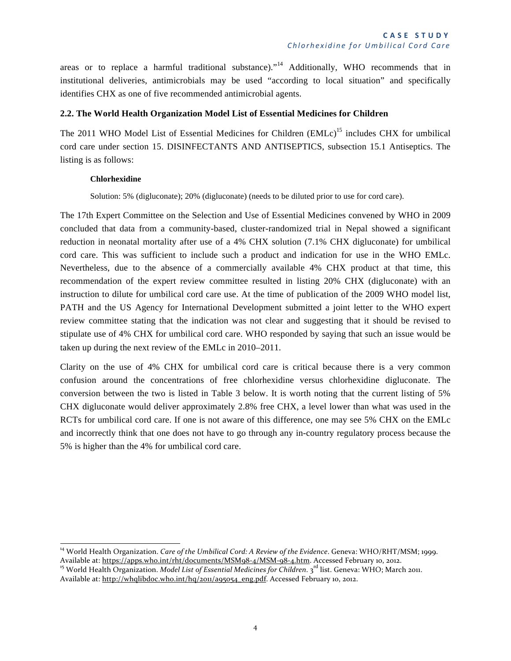areas or to replace a harmful traditional substance)."<sup>14</sup> Additionally, WHO recommends that in institutional deliveries, antimicrobials may be used "according to local situation" and specifically identifies CHX as one of five recommended antimicrobial agents.

#### **2.2. The World Health Organization Model List of Essential Medicines for Children**

The 2011 WHO Model List of Essential Medicines for Children (EMLc)<sup>15</sup> includes CHX for umbilical cord care under section 15. DISINFECTANTS AND ANTISEPTICS, subsection 15.1 Antiseptics. The listing is as follows:

#### **Chlorhexidine**

Solution: 5% (digluconate); 20% (digluconate) (needs to be diluted prior to use for cord care).

The 17th Expert Committee on the Selection and Use of Essential Medicines convened by WHO in 2009 concluded that data from a community-based, cluster-randomized trial in Nepal showed a significant reduction in neonatal mortality after use of a 4% CHX solution (7.1% CHX digluconate) for umbilical cord care. This was sufficient to include such a product and indication for use in the WHO EMLc. Nevertheless, due to the absence of a commercially available 4% CHX product at that time, this recommendation of the expert review committee resulted in listing 20% CHX (digluconate) with an instruction to dilute for umbilical cord care use. At the time of publication of the 2009 WHO model list, PATH and the US Agency for International Development submitted a joint letter to the WHO expert review committee stating that the indication was not clear and suggesting that it should be revised to stipulate use of 4% CHX for umbilical cord care. WHO responded by saying that such an issue would be taken up during the next review of the EMLc in 2010–2011.

Clarity on the use of 4% CHX for umbilical cord care is critical because there is a very common confusion around the concentrations of free chlorhexidine versus chlorhexidine digluconate. The conversion between the two is listed in Table 3 below. It is worth noting that the current listing of 5% CHX digluconate would deliver approximately 2.8% free CHX, a level lower than what was used in the RCTs for umbilical cord care. If one is not aware of this difference, one may see 5% CHX on the EMLc and incorrectly think that one does not have to go through any in-country regulatory process because the 5% is higher than the 4% for umbilical cord care.

<sup>&</sup>lt;sup>14</sup> World Health Organization. *Care of the Umbilical Cord: A Review of the Evidence*. Geneva: WHO/RHT/MSM; 1999.<br>Available at: https://apps.who.int/rht/documents/MSM98-4/MSM-98-4.htm. Accessed February 10, 2012.

<sup>&</sup>lt;sup>15</sup> World Health Organization. Model List of Essential Medicines for Children. 3<sup>rd</sup> list. Geneva: WHO; March 2011. Available at: http://whqlibdoc.who.int/hq/2011/a95054\_eng.pdf. Accessed February 10, 2012.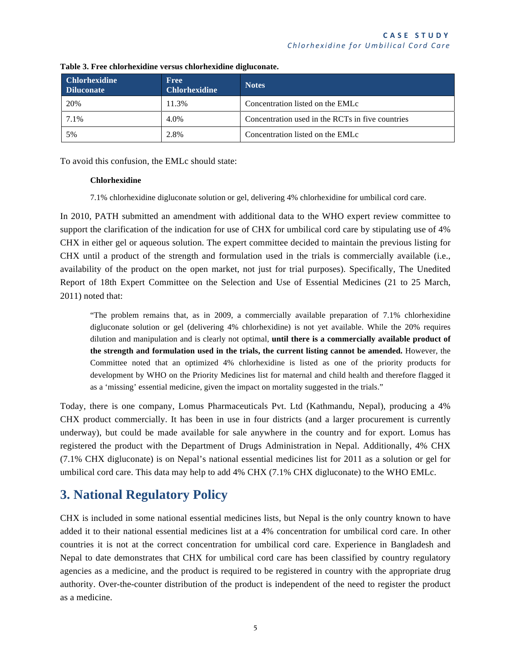| <b>Chlorhexidine</b><br><b>Diluconate</b> | <b>Free</b><br><b>Chlorhexidine</b> | <b>Notes</b>                                     |
|-------------------------------------------|-------------------------------------|--------------------------------------------------|
| 20%                                       | 11.3%                               | Concentration listed on the EMLc                 |
| 7.1%                                      | 4.0%                                | Concentration used in the RCTs in five countries |
| 5%                                        | 2.8%                                | Concentration listed on the EMLc                 |

**Table 3. Free chlorhexidine versus chlorhexidine digluconate.**

To avoid this confusion, the EMLc should state:

#### **Chlorhexidine**

7.1% chlorhexidine digluconate solution or gel, delivering 4% chlorhexidine for umbilical cord care.

In 2010, PATH submitted an amendment with additional data to the WHO expert review committee to support the clarification of the indication for use of CHX for umbilical cord care by stipulating use of 4% CHX in either gel or aqueous solution. The expert committee decided to maintain the previous listing for CHX until a product of the strength and formulation used in the trials is commercially available (i.e., availability of the product on the open market, not just for trial purposes). Specifically, The Unedited Report of 18th Expert Committee on the Selection and Use of Essential Medicines (21 to 25 March, 2011) noted that:

"The problem remains that, as in 2009, a commercially available preparation of 7.1% chlorhexidine digluconate solution or gel (delivering 4% chlorhexidine) is not yet available. While the 20% requires dilution and manipulation and is clearly not optimal, **until there is a commercially available product of the strength and formulation used in the trials, the current listing cannot be amended.** However, the Committee noted that an optimized 4% chlorhexidine is listed as one of the priority products for development by WHO on the Priority Medicines list for maternal and child health and therefore flagged it as a 'missing' essential medicine, given the impact on mortality suggested in the trials."

Today, there is one company, Lomus Pharmaceuticals Pvt. Ltd (Kathmandu, Nepal), producing a 4% CHX product commercially. It has been in use in four districts (and a larger procurement is currently underway), but could be made available for sale anywhere in the country and for export. Lomus has registered the product with the Department of Drugs Administration in Nepal. Additionally, 4% CHX (7.1% CHX digluconate) is on Nepal's national essential medicines list for 2011 as a solution or gel for umbilical cord care. This data may help to add 4% CHX (7.1% CHX digluconate) to the WHO EMLc.

### **3. National Regulatory Policy**

CHX is included in some national essential medicines lists, but Nepal is the only country known to have added it to their national essential medicines list at a 4% concentration for umbilical cord care. In other countries it is not at the correct concentration for umbilical cord care. Experience in Bangladesh and Nepal to date demonstrates that CHX for umbilical cord care has been classified by country regulatory agencies as a medicine, and the product is required to be registered in country with the appropriate drug authority. Over-the-counter distribution of the product is independent of the need to register the product as a medicine.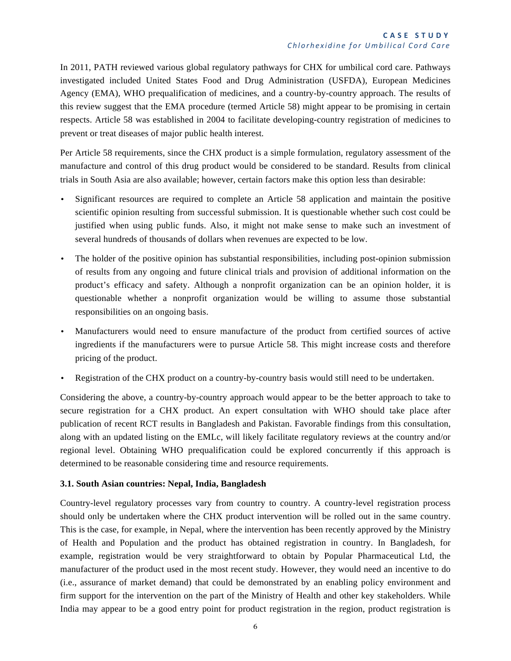In 2011, PATH reviewed various global regulatory pathways for CHX for umbilical cord care. Pathways investigated included United States Food and Drug Administration (USFDA), European Medicines Agency (EMA), WHO prequalification of medicines, and a country-by-country approach. The results of this review suggest that the EMA procedure (termed Article 58) might appear to be promising in certain respects. Article 58 was established in 2004 to facilitate developing-country registration of medicines to prevent or treat diseases of major public health interest.

Per Article 58 requirements, since the CHX product is a simple formulation, regulatory assessment of the manufacture and control of this drug product would be considered to be standard. Results from clinical trials in South Asia are also available; however, certain factors make this option less than desirable:

- Significant resources are required to complete an Article 58 application and maintain the positive scientific opinion resulting from successful submission. It is questionable whether such cost could be justified when using public funds. Also, it might not make sense to make such an investment of several hundreds of thousands of dollars when revenues are expected to be low.
- The holder of the positive opinion has substantial responsibilities, including post-opinion submission of results from any ongoing and future clinical trials and provision of additional information on the product's efficacy and safety. Although a nonprofit organization can be an opinion holder, it is questionable whether a nonprofit organization would be willing to assume those substantial responsibilities on an ongoing basis.
- Manufacturers would need to ensure manufacture of the product from certified sources of active ingredients if the manufacturers were to pursue Article 58. This might increase costs and therefore pricing of the product.
- Registration of the CHX product on a country-by-country basis would still need to be undertaken.

Considering the above, a country-by-country approach would appear to be the better approach to take to secure registration for a CHX product. An expert consultation with WHO should take place after publication of recent RCT results in Bangladesh and Pakistan. Favorable findings from this consultation, along with an updated listing on the EMLc, will likely facilitate regulatory reviews at the country and/or regional level. Obtaining WHO prequalification could be explored concurrently if this approach is determined to be reasonable considering time and resource requirements.

#### **3.1. South Asian countries: Nepal, India, Bangladesh**

Country-level regulatory processes vary from country to country. A country-level registration process should only be undertaken where the CHX product intervention will be rolled out in the same country. This is the case, for example, in Nepal, where the intervention has been recently approved by the Ministry of Health and Population and the product has obtained registration in country. In Bangladesh, for example, registration would be very straightforward to obtain by Popular Pharmaceutical Ltd, the manufacturer of the product used in the most recent study. However, they would need an incentive to do (i.e., assurance of market demand) that could be demonstrated by an enabling policy environment and firm support for the intervention on the part of the Ministry of Health and other key stakeholders. While India may appear to be a good entry point for product registration in the region, product registration is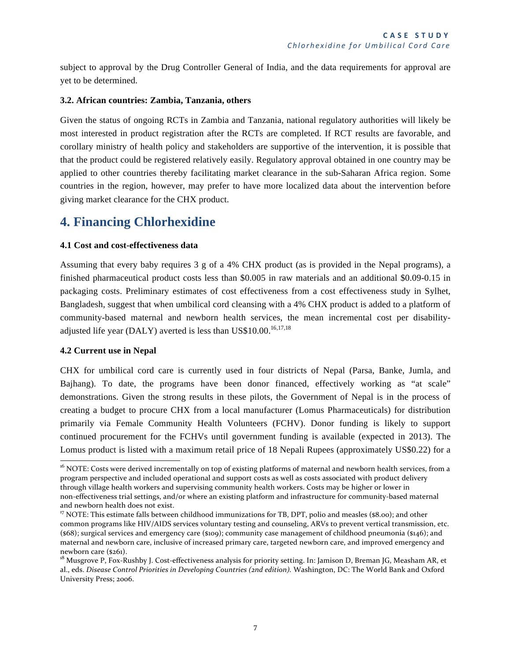subject to approval by the Drug Controller General of India, and the data requirements for approval are yet to be determined.

#### **3.2. African countries: Zambia, Tanzania, others**

Given the status of ongoing RCTs in Zambia and Tanzania, national regulatory authorities will likely be most interested in product registration after the RCTs are completed. If RCT results are favorable, and corollary ministry of health policy and stakeholders are supportive of the intervention, it is possible that that the product could be registered relatively easily. Regulatory approval obtained in one country may be applied to other countries thereby facilitating market clearance in the sub-Saharan Africa region. Some countries in the region, however, may prefer to have more localized data about the intervention before giving market clearance for the CHX product.

### **4. Financing Chlorhexidine**

#### **4.1 Cost and cost-effectiveness data**

Assuming that every baby requires 3 g of a 4% CHX product (as is provided in the Nepal programs), a finished pharmaceutical product costs less than \$0.005 in raw materials and an additional \$0.09-0.15 in packaging costs. Preliminary estimates of cost effectiveness from a cost effectiveness study in Sylhet, Bangladesh, suggest that when umbilical cord cleansing with a 4% CHX product is added to a platform of community-based maternal and newborn health services, the mean incremental cost per disabilityadjusted life year (DALY) averted is less than US\$10.00.<sup>16,17,18</sup>

#### **4.2 Current use in Nepal**

CHX for umbilical cord care is currently used in four districts of Nepal (Parsa, Banke, Jumla, and Bajhang). To date, the programs have been donor financed, effectively working as "at scale" demonstrations. Given the strong results in these pilots, the Government of Nepal is in the process of creating a budget to procure CHX from a local manufacturer (Lomus Pharmaceuticals) for distribution primarily via Female Community Health Volunteers (FCHV). Donor funding is likely to support continued procurement for the FCHVs until government funding is available (expected in 2013). The Lomus product is listed with a maximum retail price of 18 Nepali Rupees (approximately US\$0.22) for a

<sup>&</sup>lt;sup>16</sup> NOTE: Costs were derived incrementally on top of existing platforms of maternal and newborn health services, from a program perspective and included operational and support costs as well as costs associated with product delivery through village health workers and supervising community health workers. Costs may be higher or lower in non-effectiveness trial settings, and/or where an existing platform and infrastructure for community-based maternal and newborn health does not exist.

<sup>&</sup>lt;sup>17</sup> NOTE: This estimate falls between childhood immunizations for TB, DPT, polio and measles (\$8.00); and other common programs like HIV/AIDS services voluntary testing and counseling, ARVs to prevent vertical transmission, etc.  $({$68}$)$ ; surgical services and emergency care  $({$109}$)$ ; community case management of childhood pneumonia  $({$146}$)$ ; and maternal and newborn care, inclusive of increased primary care, targeted newborn care, and improved emergency and newborn care (\$261).

<sup>&</sup>lt;sup>18</sup> Musgrove P, Fox-Rushby J. Cost-effectiveness analysis for priority setting. In: Jamison D, Breman JG, Measham AR, et al., eds. Disease Control Priorities in Developing Countries (2nd edition). Washington, DC: The World Bank and Oxford University Press; 2006.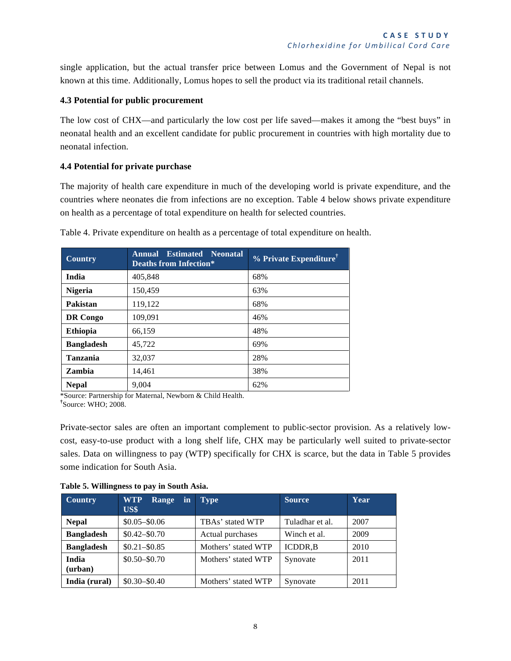single application, but the actual transfer price between Lomus and the Government of Nepal is not known at this time. Additionally, Lomus hopes to sell the product via its traditional retail channels.

#### **4.3 Potential for public procurement**

The low cost of CHX—and particularly the low cost per life saved—makes it among the "best buys" in neonatal health and an excellent candidate for public procurement in countries with high mortality due to neonatal infection.

#### **4.4 Potential for private purchase**

The majority of health care expenditure in much of the developing world is private expenditure, and the countries where neonates die from infections are no exception. Table 4 below shows private expenditure on health as a percentage of total expenditure on health for selected countries.

| <b>Country</b>    | <b>Annual Estimated Neonatal</b><br><b>Deaths from Infection*</b> | $%$ Private Expenditure <sup>†</sup> |
|-------------------|-------------------------------------------------------------------|--------------------------------------|
| India             | 405,848                                                           | 68%                                  |
| <b>Nigeria</b>    | 150,459                                                           | 63%                                  |
| Pakistan          | 119,122                                                           | 68%                                  |
| <b>DR</b> Congo   | 109,091                                                           | 46%                                  |
| <b>Ethiopia</b>   | 66,159                                                            | 48%                                  |
| <b>Bangladesh</b> | 45,722                                                            | 69%                                  |
| <b>Tanzania</b>   | 32,037                                                            | 28%                                  |
| Zambia            | 14,461                                                            | 38%                                  |
| <b>Nepal</b>      | 9,004                                                             | 62%                                  |

Table 4. Private expenditure on health as a percentage of total expenditure on health.

\*Source: Partnership for Maternal, Newborn & Child Health. **†** <sup>†</sup>Source: WHO; 2008.

Private-sector sales are often an important complement to public-sector provision. As a relatively lowcost, easy-to-use product with a long shelf life, CHX may be particularly well suited to private-sector sales. Data on willingness to pay (WTP) specifically for CHX is scarce, but the data in Table 5 provides some indication for South Asia.

| <b>Country</b>    | <b>WTP</b><br>in<br>Range<br>US\$ | <b>Type</b>         | <b>Source</b>   | Year |
|-------------------|-----------------------------------|---------------------|-----------------|------|
| <b>Nepal</b>      | $$0.05 - $0.06$                   | TBAs' stated WTP    | Tuladhar et al. | 2007 |
| <b>Bangladesh</b> | $$0.42 - $0.70$                   | Actual purchases    | Winch et al.    | 2009 |
| <b>Bangladesh</b> | $$0.21 - $0.85$                   | Mothers' stated WTP | <b>ICDDR.B</b>  | 2010 |
| India<br>(urban)  | $$0.50 - $0.70$                   | Mothers' stated WTP | Synovate        | 2011 |
| India (rural)     | $$0.30 - $0.40$                   | Mothers' stated WTP | Synovate        | 2011 |

**Table 5. Willingness to pay in South Asia.**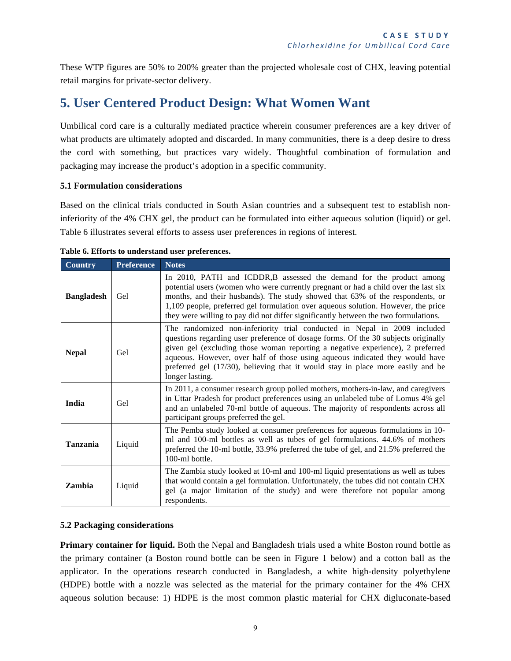These WTP figures are 50% to 200% greater than the projected wholesale cost of CHX, leaving potential retail margins for private-sector delivery.

### **5. User Centered Product Design: What Women Want**

Umbilical cord care is a culturally mediated practice wherein consumer preferences are a key driver of what products are ultimately adopted and discarded. In many communities, there is a deep desire to dress the cord with something, but practices vary widely. Thoughtful combination of formulation and packaging may increase the product's adoption in a specific community.

#### **5.1 Formulation considerations**

Based on the clinical trials conducted in South Asian countries and a subsequent test to establish noninferiority of the 4% CHX gel, the product can be formulated into either aqueous solution (liquid) or gel. Table 6 illustrates several efforts to assess user preferences in regions of interest.

| <b>Country</b>    | <b>Preference</b> | <b>Notes</b>                                                                                                                                                                                                                                                                                                                                                                                                                           |  |  |
|-------------------|-------------------|----------------------------------------------------------------------------------------------------------------------------------------------------------------------------------------------------------------------------------------------------------------------------------------------------------------------------------------------------------------------------------------------------------------------------------------|--|--|
| <b>Bangladesh</b> | Gel               | In 2010, PATH and ICDDR, B assessed the demand for the product among<br>potential users (women who were currently pregnant or had a child over the last six<br>months, and their husbands). The study showed that 63% of the respondents, or<br>1,109 people, preferred gel formulation over aqueous solution. However, the price<br>they were willing to pay did not differ significantly between the two formulations.               |  |  |
| <b>Nepal</b>      | Gel               | The randomized non-inferiority trial conducted in Nepal in 2009 included<br>questions regarding user preference of dosage forms. Of the 30 subjects originally<br>given gel (excluding those woman reporting a negative experience), 2 preferred<br>aqueous. However, over half of those using aqueous indicated they would have<br>preferred gel (17/30), believing that it would stay in place more easily and be<br>longer lasting. |  |  |
| India             | Gel               | In 2011, a consumer research group polled mothers, mothers-in-law, and caregivers<br>in Uttar Pradesh for product preferences using an unlabeled tube of Lomus 4% gel<br>and an unlabeled 70-ml bottle of aqueous. The majority of respondents across all<br>participant groups preferred the gel.                                                                                                                                     |  |  |
| <b>Tanzania</b>   | Liquid            | The Pemba study looked at consumer preferences for aqueous formulations in 10-<br>ml and 100-ml bottles as well as tubes of gel formulations. 44.6% of mothers<br>preferred the 10-ml bottle, 33.9% preferred the tube of gel, and 21.5% preferred the<br>100-ml bottle.                                                                                                                                                               |  |  |
| Zambia            | Liquid            | The Zambia study looked at 10-ml and 100-ml liquid presentations as well as tubes<br>that would contain a gel formulation. Unfortunately, the tubes did not contain CHX<br>gel (a major limitation of the study) and were therefore not popular among<br>respondents.                                                                                                                                                                  |  |  |

#### **Table 6. Efforts to understand user preferences.**

#### **5.2 Packaging considerations**

**Primary container for liquid.** Both the Nepal and Bangladesh trials used a white Boston round bottle as the primary container (a Boston round bottle can be seen in Figure 1 below) and a cotton ball as the applicator. In the operations research conducted in Bangladesh, a white high-density polyethylene (HDPE) bottle with a nozzle was selected as the material for the primary container for the 4% CHX aqueous solution because: 1) HDPE is the most common plastic material for CHX digluconate-based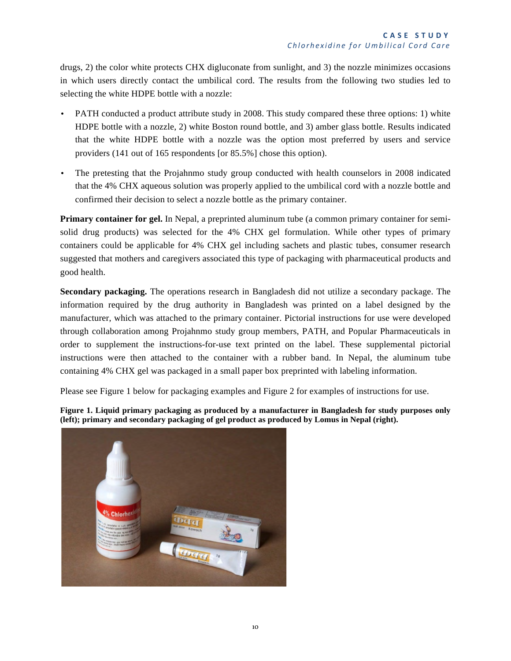drugs, 2) the color white protects CHX digluconate from sunlight, and 3) the nozzle minimizes occasions in which users directly contact the umbilical cord. The results from the following two studies led to selecting the white HDPE bottle with a nozzle:

- PATH conducted a product attribute study in 2008. This study compared these three options: 1) white HDPE bottle with a nozzle, 2) white Boston round bottle, and 3) amber glass bottle. Results indicated that the white HDPE bottle with a nozzle was the option most preferred by users and service providers (141 out of 165 respondents [or 85.5%] chose this option).
- The pretesting that the Projahnmo study group conducted with health counselors in 2008 indicated that the 4% CHX aqueous solution was properly applied to the umbilical cord with a nozzle bottle and confirmed their decision to select a nozzle bottle as the primary container.

**Primary container for gel.** In Nepal, a preprinted aluminum tube (a common primary container for semisolid drug products) was selected for the 4% CHX gel formulation. While other types of primary containers could be applicable for 4% CHX gel including sachets and plastic tubes, consumer research suggested that mothers and caregivers associated this type of packaging with pharmaceutical products and good health.

**Secondary packaging.** The operations research in Bangladesh did not utilize a secondary package. The information required by the drug authority in Bangladesh was printed on a label designed by the manufacturer, which was attached to the primary container. Pictorial instructions for use were developed through collaboration among Projahnmo study group members, PATH, and Popular Pharmaceuticals in order to supplement the instructions-for-use text printed on the label. These supplemental pictorial instructions were then attached to the container with a rubber band. In Nepal, the aluminum tube containing 4% CHX gel was packaged in a small paper box preprinted with labeling information.

Please see Figure 1 below for packaging examples and Figure 2 for examples of instructions for use.

**Figure 1. Liquid primary packaging as produced by a manufacturer in Bangladesh for study purposes only (left); primary and secondary packaging of gel product as produced by Lomus in Nepal (right).**

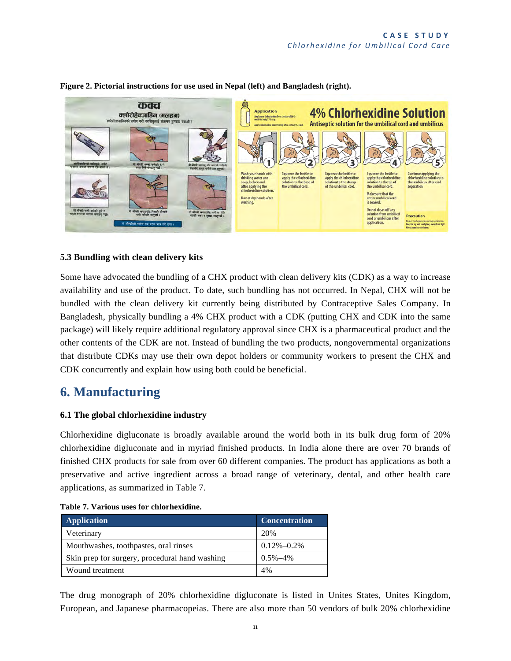

#### **Figure 2. Pictorial instructions for use used in Nepal (left) and Bangladesh (right).**

#### **5.3 Bundling with clean delivery kits**

Some have advocated the bundling of a CHX product with clean delivery kits (CDK) as a way to increase availability and use of the product. To date, such bundling has not occurred. In Nepal, CHX will not be bundled with the clean delivery kit currently being distributed by Contraceptive Sales Company. In Bangladesh, physically bundling a 4% CHX product with a CDK (putting CHX and CDK into the same package) will likely require additional regulatory approval since CHX is a pharmaceutical product and the other contents of the CDK are not. Instead of bundling the two products, nongovernmental organizations that distribute CDKs may use their own depot holders or community workers to present the CHX and CDK concurrently and explain how using both could be beneficial.

### **6. Manufacturing**

#### **6.1 The global chlorhexidine industry**

Chlorhexidine digluconate is broadly available around the world both in its bulk drug form of 20% chlorhexidine digluconate and in myriad finished products. In India alone there are over 70 brands of finished CHX products for sale from over 60 different companies. The product has applications as both a preservative and active ingredient across a broad range of veterinary, dental, and other health care applications, as summarized in Table 7.

| <b>Application</b>                             | <b>Concentration</b> |
|------------------------------------------------|----------------------|
| Veterinary                                     | 20%                  |
| Mouthwashes, toothpastes, oral rinses          | $0.12\% - 0.2\%$     |
| Skin prep for surgery, procedural hand washing | $0.5\% - 4\%$        |
| Wound treatment                                | 4%                   |

#### **Table 7. Various uses for chlorhexidine.**

The drug monograph of 20% chlorhexidine digluconate is listed in Unites States, Unites Kingdom, European, and Japanese pharmacopeias. There are also more than 50 vendors of bulk 20% chlorhexidine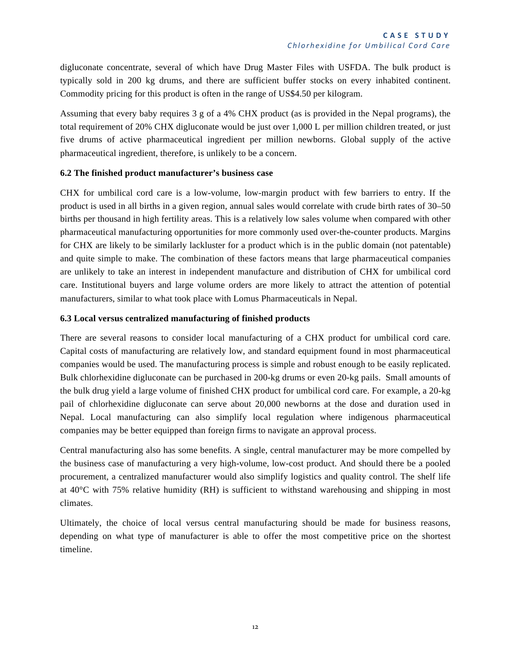digluconate concentrate, several of which have Drug Master Files with USFDA. The bulk product is typically sold in 200 kg drums, and there are sufficient buffer stocks on every inhabited continent. Commodity pricing for this product is often in the range of US\$4.50 per kilogram.

Assuming that every baby requires 3 g of a 4% CHX product (as is provided in the Nepal programs), the total requirement of 20% CHX digluconate would be just over 1,000 L per million children treated, or just five drums of active pharmaceutical ingredient per million newborns. Global supply of the active pharmaceutical ingredient, therefore, is unlikely to be a concern.

#### **6.2 The finished product manufacturer's business case**

CHX for umbilical cord care is a low-volume, low-margin product with few barriers to entry. If the product is used in all births in a given region, annual sales would correlate with crude birth rates of 30–50 births per thousand in high fertility areas. This is a relatively low sales volume when compared with other pharmaceutical manufacturing opportunities for more commonly used over-the-counter products. Margins for CHX are likely to be similarly lackluster for a product which is in the public domain (not patentable) and quite simple to make. The combination of these factors means that large pharmaceutical companies are unlikely to take an interest in independent manufacture and distribution of CHX for umbilical cord care. Institutional buyers and large volume orders are more likely to attract the attention of potential manufacturers, similar to what took place with Lomus Pharmaceuticals in Nepal.

#### **6.3 Local versus centralized manufacturing of finished products**

There are several reasons to consider local manufacturing of a CHX product for umbilical cord care. Capital costs of manufacturing are relatively low, and standard equipment found in most pharmaceutical companies would be used. The manufacturing process is simple and robust enough to be easily replicated. Bulk chlorhexidine digluconate can be purchased in 200-kg drums or even 20-kg pails. Small amounts of the bulk drug yield a large volume of finished CHX product for umbilical cord care. For example, a 20-kg pail of chlorhexidine digluconate can serve about 20,000 newborns at the dose and duration used in Nepal. Local manufacturing can also simplify local regulation where indigenous pharmaceutical companies may be better equipped than foreign firms to navigate an approval process.

Central manufacturing also has some benefits. A single, central manufacturer may be more compelled by the business case of manufacturing a very high-volume, low-cost product. And should there be a pooled procurement, a centralized manufacturer would also simplify logistics and quality control. The shelf life at 40°C with 75% relative humidity (RH) is sufficient to withstand warehousing and shipping in most climates.

Ultimately, the choice of local versus central manufacturing should be made for business reasons, depending on what type of manufacturer is able to offer the most competitive price on the shortest timeline.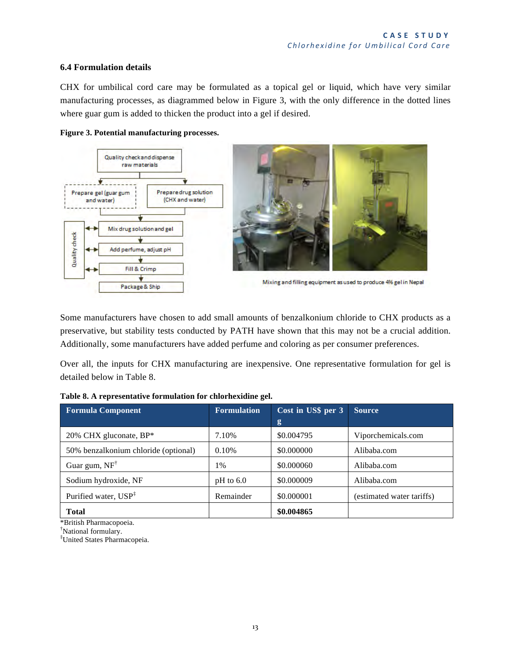#### **6.4 Formulation details**

CHX for umbilical cord care may be formulated as a topical gel or liquid, which have very similar manufacturing processes, as diagrammed below in Figure 3, with the only difference in the dotted lines where guar gum is added to thicken the product into a gel if desired.





Some manufacturers have chosen to add small amounts of benzalkonium chloride to CHX products as a preservative, but stability tests conducted by PATH have shown that this may not be a crucial addition. Additionally, some manufacturers have added perfume and coloring as per consumer preferences.

Over all, the inputs for CHX manufacturing are inexpensive. One representative formulation for gel is detailed below in Table 8.

| <b>Formula Component</b>             | <b>Formulation</b> | Cost in US\$ per 3 | <b>Source</b>             |
|--------------------------------------|--------------------|--------------------|---------------------------|
|                                      |                    | g                  |                           |
| 20% CHX gluconate, BP*               | 7.10%              | \$0.004795         | Viporchemicals.com        |
| 50% benzalkonium chloride (optional) | 0.10%              | \$0,000000         | Alibaba.com               |
| Guar gum, $NF^{\dagger}$             | 1%                 | \$0.000060         | Alibaba.com               |
| Sodium hydroxide, NF                 | $pH$ to 6.0        | \$0.000009         | Alibaba.com               |
| Purified water, USP <sup>‡</sup>     | Remainder          | \$0.000001         | (estimated water tariffs) |
| <b>Total</b>                         |                    | \$0.004865         |                           |

|  |  |  | Table 8. A representative formulation for chlorhexidine gel. |
|--|--|--|--------------------------------------------------------------|
|--|--|--|--------------------------------------------------------------|

\*British Pharmacopoeia. †

<sup>†</sup>National formulary.

‡ United States Pharmacopeia.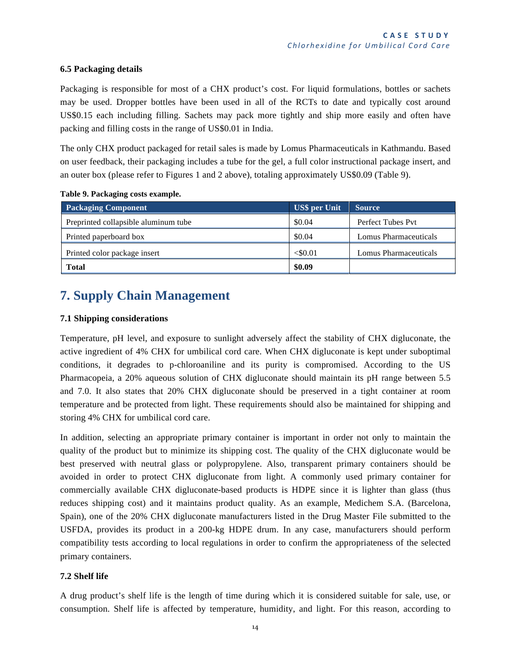#### **6.5 Packaging details**

Packaging is responsible for most of a CHX product's cost. For liquid formulations, bottles or sachets may be used. Dropper bottles have been used in all of the RCTs to date and typically cost around US\$0.15 each including filling. Sachets may pack more tightly and ship more easily and often have packing and filling costs in the range of US\$0.01 in India.

The only CHX product packaged for retail sales is made by Lomus Pharmaceuticals in Kathmandu. Based on user feedback, their packaging includes a tube for the gel, a full color instructional package insert, and an outer box (please refer to Figures 1 and 2 above), totaling approximately US\$0.09 (Table 9).

| <b>Packaging Component</b>           | US\$ per Unit | <b>Source</b>         |
|--------------------------------------|---------------|-----------------------|
| Preprinted collapsible aluminum tube | \$0.04        | Perfect Tubes Pyt     |
| Printed paperboard box               | \$0.04        | Lomus Pharmaceuticals |
| Printed color package insert         | $<$ \$0.01    | Lomus Pharmaceuticals |
| <b>Total</b>                         | \$0.09        |                       |

#### **Table 9. Packaging costs example.**

### **7. Supply Chain Management**

#### **7.1 Shipping considerations**

Temperature, pH level, and exposure to sunlight adversely affect the stability of CHX digluconate, the active ingredient of 4% CHX for umbilical cord care. When CHX digluconate is kept under suboptimal conditions, it degrades to p-chloroaniline and its purity is compromised. According to the US Pharmacopeia, a 20% aqueous solution of CHX digluconate should maintain its pH range between 5.5 and 7.0. It also states that 20% CHX digluconate should be preserved in a tight container at room temperature and be protected from light. These requirements should also be maintained for shipping and storing 4% CHX for umbilical cord care.

In addition, selecting an appropriate primary container is important in order not only to maintain the quality of the product but to minimize its shipping cost. The quality of the CHX digluconate would be best preserved with neutral glass or polypropylene. Also, transparent primary containers should be avoided in order to protect CHX digluconate from light. A commonly used primary container for commercially available CHX digluconate-based products is HDPE since it is lighter than glass (thus reduces shipping cost) and it maintains product quality. As an example, Medichem S.A. (Barcelona, Spain), one of the 20% CHX digluconate manufacturers listed in the Drug Master File submitted to the USFDA, provides its product in a 200-kg HDPE drum. In any case, manufacturers should perform compatibility tests according to local regulations in order to confirm the appropriateness of the selected primary containers.

#### **7.2 Shelf life**

A drug product's shelf life is the length of time during which it is considered suitable for sale, use, or consumption. Shelf life is affected by temperature, humidity, and light. For this reason, according to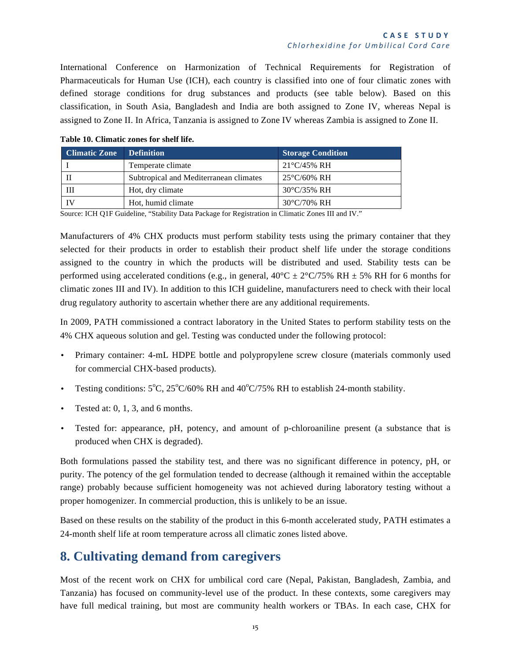International Conference on Harmonization of Technical Requirements for Registration of Pharmaceuticals for Human Use (ICH), each country is classified into one of four climatic zones with defined storage conditions for drug substances and products (see table below). Based on this classification, in South Asia, Bangladesh and India are both assigned to Zone IV, whereas Nepal is assigned to Zone II. In Africa, Tanzania is assigned to Zone IV whereas Zambia is assigned to Zone II.

| <b>Climatic Zone</b> | <b>Definition</b>                      | <b>Storage Condition</b> |
|----------------------|----------------------------------------|--------------------------|
|                      | Temperate climate                      | $21^{\circ}C/45\%$ RH    |
|                      | Subtropical and Mediterranean climates | $25^{\circ}$ C/60% RH    |
| Ш                    | Hot, dry climate                       | $30^{\circ}$ C/35% RH    |
| ΙV                   | Hot, humid climate                     | $30^{\circ}$ C/70% RH    |

**Table 10. Climatic zones for shelf life.**

Source: ICH Q1F Guideline, "Stability Data Package for Registration in Climatic Zones III and IV."

Manufacturers of 4% CHX products must perform stability tests using the primary container that they selected for their products in order to establish their product shelf life under the storage conditions assigned to the country in which the products will be distributed and used. Stability tests can be performed using accelerated conditions (e.g., in general,  $40^{\circ}C \pm 2^{\circ}C/75\%$  RH  $\pm$  5% RH for 6 months for climatic zones III and IV). In addition to this ICH guideline, manufacturers need to check with their local drug regulatory authority to ascertain whether there are any additional requirements.

In 2009, PATH commissioned a contract laboratory in the United States to perform stability tests on the 4% CHX aqueous solution and gel. Testing was conducted under the following protocol:

- Primary container: 4-mL HDPE bottle and polypropylene screw closure (materials commonly used for commercial CHX-based products).
- Testing conditions:  $5^{\circ}$ C,  $25^{\circ}$ C/60% RH and  $40^{\circ}$ C/75% RH to establish 24-month stability.
- Tested at:  $0, 1, 3$ , and 6 months.
- Tested for: appearance, pH, potency, and amount of p-chloroaniline present (a substance that is produced when CHX is degraded).

Both formulations passed the stability test, and there was no significant difference in potency, pH, or purity. The potency of the gel formulation tended to decrease (although it remained within the acceptable range) probably because sufficient homogeneity was not achieved during laboratory testing without a proper homogenizer. In commercial production, this is unlikely to be an issue.

Based on these results on the stability of the product in this 6-month accelerated study, PATH estimates a 24-month shelf life at room temperature across all climatic zones listed above.

### **8. Cultivating demand from caregivers**

Most of the recent work on CHX for umbilical cord care (Nepal, Pakistan, Bangladesh, Zambia, and Tanzania) has focused on community-level use of the product. In these contexts, some caregivers may have full medical training, but most are community health workers or TBAs. In each case, CHX for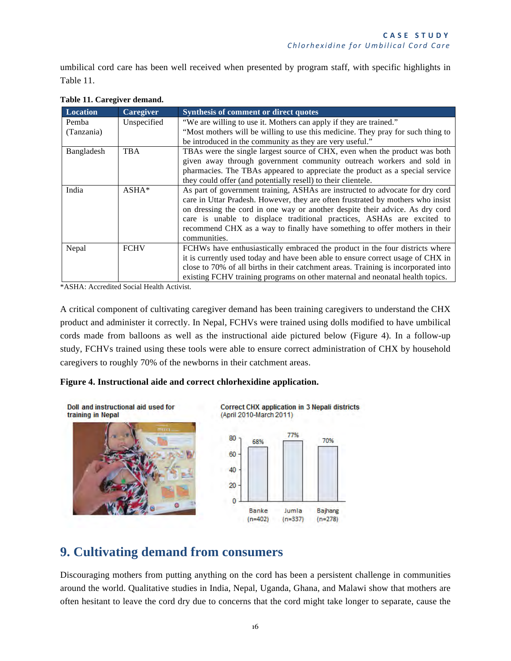umbilical cord care has been well received when presented by program staff, with specific highlights in Table 11.

| <b>Location</b> | <b>Caregiver</b> | Synthesis of comment or direct quotes                                              |  |
|-----------------|------------------|------------------------------------------------------------------------------------|--|
| Pemba           | Unspecified      | "We are willing to use it. Mothers can apply if they are trained."                 |  |
| (Tanzania)      |                  | "Most mothers will be willing to use this medicine. They pray for such thing to    |  |
|                 |                  | be introduced in the community as they are very useful."                           |  |
| Bangladesh      | <b>TBA</b>       | TBAs were the single largest source of CHX, even when the product was both         |  |
|                 |                  | given away through government community outreach workers and sold in               |  |
|                 |                  | pharmacies. The TBAs appeared to appreciate the product as a special service       |  |
|                 |                  | they could offer (and potentially resell) to their clientele.                      |  |
| India           | $ASHA*$          | As part of government training, ASHAs are instructed to advocate for dry cord      |  |
|                 |                  | care in Uttar Pradesh. However, they are often frustrated by mothers who insist    |  |
|                 |                  | on dressing the cord in one way or another despite their advice. As dry cord       |  |
|                 |                  | care is unable to displace traditional practices, ASHAs are excited to             |  |
|                 |                  | recommend CHX as a way to finally have something to offer mothers in their         |  |
|                 |                  | communities.                                                                       |  |
| Nepal           | <b>FCHV</b>      | FCHWs have enthusiastically embraced the product in the four districts where       |  |
|                 |                  | it is currently used today and have been able to ensure correct usage of CHX in    |  |
|                 |                  | close to 70% of all births in their catchment areas. Training is incorporated into |  |
|                 |                  | existing FCHV training programs on other maternal and neonatal health topics.      |  |

#### **Table 11. Caregiver demand.**

\*ASHA: Accredited Social Health Activist.

A critical component of cultivating caregiver demand has been training caregivers to understand the CHX product and administer it correctly. In Nepal, FCHVs were trained using dolls modified to have umbilical cords made from balloons as well as the instructional aide pictured below (Figure 4). In a follow-up study, FCHVs trained using these tools were able to ensure correct administration of CHX by household caregivers to roughly 70% of the newborns in their catchment areas.

#### **Figure 4. Instructional aide and correct chlorhexidine application.**



### **9. Cultivating demand from consumers**

Discouraging mothers from putting anything on the cord has been a persistent challenge in communities around the world. Qualitative studies in India, Nepal, Uganda, Ghana, and Malawi show that mothers are often hesitant to leave the cord dry due to concerns that the cord might take longer to separate, cause the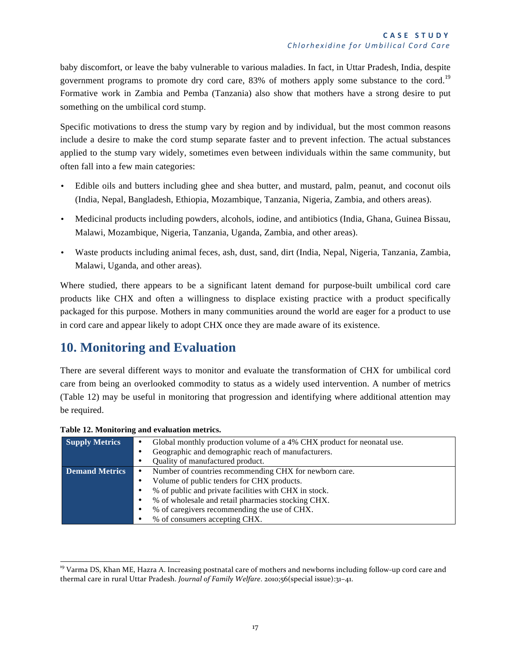baby discomfort, or leave the baby vulnerable to various maladies. In fact, in Uttar Pradesh, India, despite government programs to promote dry cord care, 83% of mothers apply some substance to the cord.<sup>19</sup> Formative work in Zambia and Pemba (Tanzania) also show that mothers have a strong desire to put something on the umbilical cord stump.

Specific motivations to dress the stump vary by region and by individual, but the most common reasons include a desire to make the cord stump separate faster and to prevent infection. The actual substances applied to the stump vary widely, sometimes even between individuals within the same community, but often fall into a few main categories:

- Edible oils and butters including ghee and shea butter, and mustard, palm, peanut, and coconut oils (India, Nepal, Bangladesh, Ethiopia, Mozambique, Tanzania, Nigeria, Zambia, and others areas).
- Medicinal products including powders, alcohols, iodine, and antibiotics (India, Ghana, Guinea Bissau, Malawi, Mozambique, Nigeria, Tanzania, Uganda, Zambia, and other areas).
- Waste products including animal feces, ash, dust, sand, dirt (India, Nepal, Nigeria, Tanzania, Zambia, Malawi, Uganda, and other areas).

Where studied, there appears to be a significant latent demand for purpose-built umbilical cord care products like CHX and often a willingness to displace existing practice with a product specifically packaged for this purpose. Mothers in many communities around the world are eager for a product to use in cord care and appear likely to adopt CHX once they are made aware of its existence.

### **10. Monitoring and Evaluation**

There are several different ways to monitor and evaluate the transformation of CHX for umbilical cord care from being an overlooked commodity to status as a widely used intervention. A number of metrics (Table 12) may be useful in monitoring that progression and identifying where additional attention may be required.

| <b>Supply Metrics</b> | Global monthly production volume of a 4% CHX product for neonatal use. |
|-----------------------|------------------------------------------------------------------------|
|                       | Geographic and demographic reach of manufacturers.                     |
|                       | Quality of manufactured product.                                       |
| <b>Demand Metrics</b> | Number of countries recommending CHX for newborn care.                 |
|                       | Volume of public tenders for CHX products.                             |
|                       | % of public and private facilities with CHX in stock.                  |
|                       | % of wholesale and retail pharmacies stocking CHX.                     |
|                       | % of caregivers recommending the use of CHX.                           |
|                       | % of consumers accepting CHX.                                          |

**Table 12. Monitoring and evaluation metrics.**

<sup>&</sup>lt;sup>19</sup> Varma DS, Khan ME, Hazra A. Increasing postnatal care of mothers and newborns including follow-up cord care and thermal care in rural Uttar Pradesh. *Journal of Family Welfare*. 2010;56(special issue):31-41.